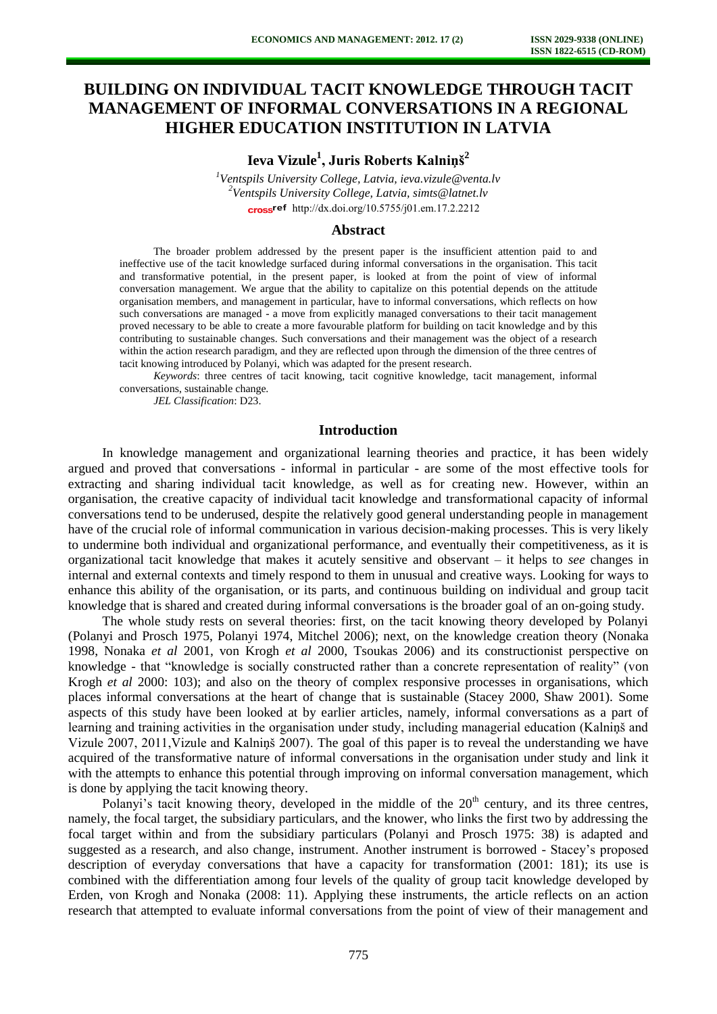# **BUILDING ON INDIVIDUAL TACIT KNOWLEDGE THROUGH TACIT MANAGEMENT OF INFORMAL CONVERSATIONS IN A REGIONAL HIGHER EDUCATION INSTITUTION IN LATVIA**

**Ieva Vizule<sup>1</sup> , Juris Roberts Kalniņš<sup>2</sup>**

*<sup>1</sup>Ventspils University College, Latvia, ieva.vizule@venta.lv <sup>2</sup>Ventspils University College, Latvia, simts@latnet.lv*  cross<sup>ref</sup> [http://dx.doi.org/10.5755/j01.e](http://dx.doi.org/10.5755/j01.em.17.2.2212)m.17.2.2212

#### **Abstract**

The broader problem addressed by the present paper is the insufficient attention paid to and ineffective use of the tacit knowledge surfaced during informal conversations in the organisation. This tacit and transformative potential, in the present paper, is looked at from the point of view of informal conversation management. We argue that the ability to capitalize on this potential depends on the attitude organisation members, and management in particular, have to informal conversations, which reflects on how such conversations are managed - a move from explicitly managed conversations to their tacit management proved necessary to be able to create a more favourable platform for building on tacit knowledge and by this contributing to sustainable changes. Such conversations and their management was the object of a research within the action research paradigm, and they are reflected upon through the dimension of the three centres of tacit knowing introduced by Polanyi, which was adapted for the present research.

*Keywords*: three centres of tacit knowing, tacit cognitive knowledge, tacit management, informal conversations, sustainable change.

*JEL Classification*: D23.

## **Introduction**

In knowledge management and organizational learning theories and practice, it has been widely argued and proved that conversations - informal in particular - are some of the most effective tools for extracting and sharing individual tacit knowledge, as well as for creating new. However, within an organisation, the creative capacity of individual tacit knowledge and transformational capacity of informal conversations tend to be underused, despite the relatively good general understanding people in management have of the crucial role of informal communication in various decision-making processes. This is very likely to undermine both individual and organizational performance, and eventually their competitiveness, as it is organizational tacit knowledge that makes it acutely sensitive and observant – it helps to *see* changes in internal and external contexts and timely respond to them in unusual and creative ways. Looking for ways to enhance this ability of the organisation, or its parts, and continuous building on individual and group tacit knowledge that is shared and created during informal conversations is the broader goal of an on-going study.

The whole study rests on several theories: first, on the tacit knowing theory developed by Polanyi (Polanyi and Prosch 1975, Polanyi 1974, Mitchel 2006); next, on the knowledge creation theory (Nonaka 1998, Nonaka *et al* 2001, von Krogh *et al* 2000, Tsoukas 2006) and its constructionist perspective on knowledge - that "knowledge is socially constructed rather than a concrete representation of reality" (von Krogh *et al* 2000: 103); and also on the theory of complex responsive processes in organisations, which places informal conversations at the heart of change that is sustainable (Stacey 2000, Shaw 2001). Some aspects of this study have been looked at by earlier articles, namely, informal conversations as a part of learning and training activities in the organisation under study, including managerial education (Kalniņš and Vizule 2007, 2011,Vizule and Kalniņš 2007). The goal of this paper is to reveal the understanding we have acquired of the transformative nature of informal conversations in the organisation under study and link it with the attempts to enhance this potential through improving on informal conversation management, which is done by applying the tacit knowing theory.

Polanyi's tacit knowing theory, developed in the middle of the  $20<sup>th</sup>$  century, and its three centres, namely, the focal target, the subsidiary particulars, and the knower, who links the first two by addressing the focal target within and from the subsidiary particulars (Polanyi and Prosch 1975: 38) is adapted and suggested as a research, and also change, instrument. Another instrument is borrowed - Stacey's proposed description of everyday conversations that have a capacity for transformation (2001: 181); its use is combined with the differentiation among four levels of the quality of group tacit knowledge developed by Erden, von Krogh and Nonaka (2008: 11). Applying these instruments, the article reflects on an action research that attempted to evaluate informal conversations from the point of view of their management and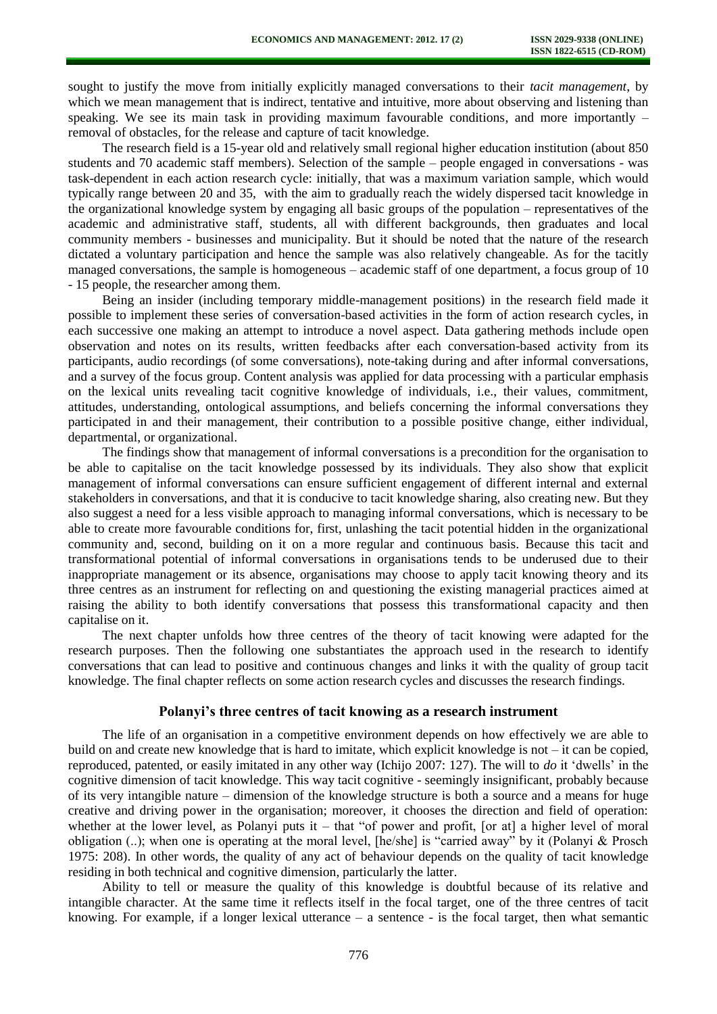sought to justify the move from initially explicitly managed conversations to their *tacit management*, by which we mean management that is indirect, tentative and intuitive, more about observing and listening than speaking. We see its main task in providing maximum favourable conditions, and more importantly – removal of obstacles, for the release and capture of tacit knowledge.

The research field is a 15-year old and relatively small regional higher education institution (about 850 students and 70 academic staff members). Selection of the sample – people engaged in conversations - was task-dependent in each action research cycle: initially, that was a maximum variation sample, which would typically range between 20 and 35, with the aim to gradually reach the widely dispersed tacit knowledge in the organizational knowledge system by engaging all basic groups of the population – representatives of the academic and administrative staff, students, all with different backgrounds, then graduates and local community members - businesses and municipality. But it should be noted that the nature of the research dictated a voluntary participation and hence the sample was also relatively changeable. As for the tacitly managed conversations, the sample is homogeneous – academic staff of one department, a focus group of 10 - 15 people, the researcher among them.

Being an insider (including temporary middle-management positions) in the research field made it possible to implement these series of conversation-based activities in the form of action research cycles, in each successive one making an attempt to introduce a novel aspect. Data gathering methods include open observation and notes on its results, written feedbacks after each conversation-based activity from its participants, audio recordings (of some conversations), note-taking during and after informal conversations, and a survey of the focus group. Content analysis was applied for data processing with a particular emphasis on the lexical units revealing tacit cognitive knowledge of individuals, i.e., their values, commitment, attitudes, understanding, ontological assumptions, and beliefs concerning the informal conversations they participated in and their management, their contribution to a possible positive change, either individual, departmental, or organizational.

The findings show that management of informal conversations is a precondition for the organisation to be able to capitalise on the tacit knowledge possessed by its individuals. They also show that explicit management of informal conversations can ensure sufficient engagement of different internal and external stakeholders in conversations, and that it is conducive to tacit knowledge sharing, also creating new. But they also suggest a need for a less visible approach to managing informal conversations, which is necessary to be able to create more favourable conditions for, first, unlashing the tacit potential hidden in the organizational community and, second, building on it on a more regular and continuous basis. Because this tacit and transformational potential of informal conversations in organisations tends to be underused due to their inappropriate management or its absence, organisations may choose to apply tacit knowing theory and its three centres as an instrument for reflecting on and questioning the existing managerial practices aimed at raising the ability to both identify conversations that possess this transformational capacity and then capitalise on it.

The next chapter unfolds how three centres of the theory of tacit knowing were adapted for the research purposes. Then the following one substantiates the approach used in the research to identify conversations that can lead to positive and continuous changes and links it with the quality of group tacit knowledge. The final chapter reflects on some action research cycles and discusses the research findings.

## **Polanyi's three centres of tacit knowing as a research instrument**

The life of an organisation in a competitive environment depends on how effectively we are able to build on and create new knowledge that is hard to imitate, which explicit knowledge is not – it can be copied, reproduced, patented, or easily imitated in any other way (Ichijo 2007: 127). The will to *do* it 'dwells' in the cognitive dimension of tacit knowledge. This way tacit cognitive - seemingly insignificant, probably because of its very intangible nature – dimension of the knowledge structure is both a source and a means for huge creative and driving power in the organisation; moreover, it chooses the direction and field of operation: whether at the lower level, as Polanyi puts it – that "of power and profit, [or at] a higher level of moral obligation (..); when one is operating at the moral level, [he/she] is "carried away" by it (Polanyi & Prosch 1975: 208). In other words, the quality of any act of behaviour depends on the quality of tacit knowledge residing in both technical and cognitive dimension, particularly the latter.

Ability to tell or measure the quality of this knowledge is doubtful because of its relative and intangible character. At the same time it reflects itself in the focal target, one of the three centres of tacit knowing. For example, if a longer lexical utterance  $-$  a sentence  $-$  is the focal target, then what semantic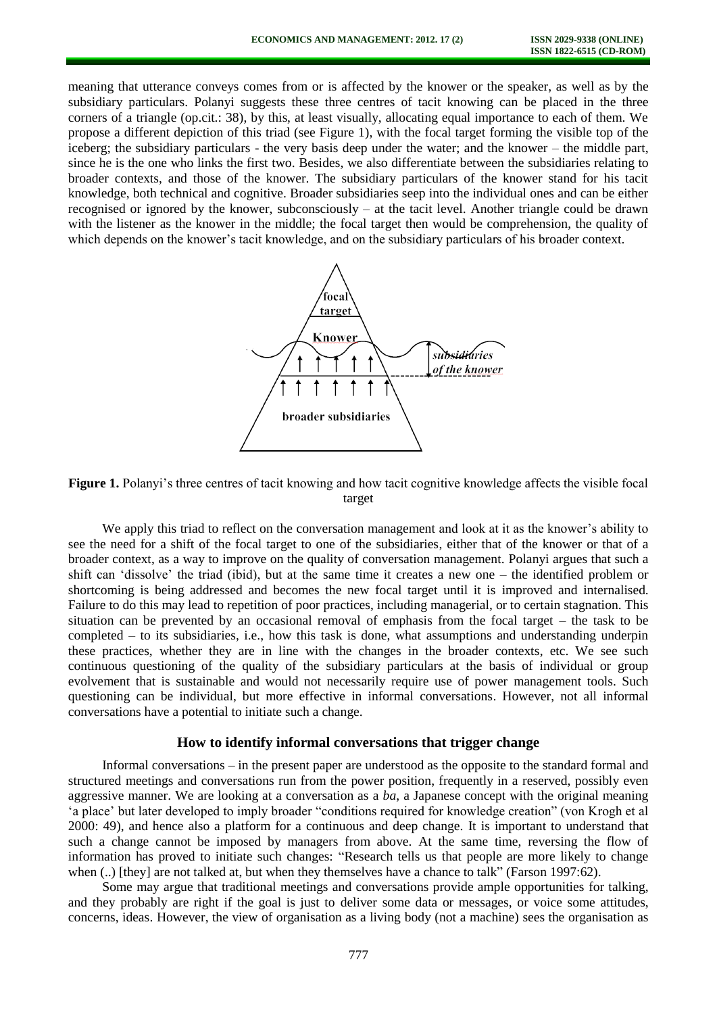meaning that utterance conveys comes from or is affected by the knower or the speaker, as well as by the subsidiary particulars. Polanyi suggests these three centres of tacit knowing can be placed in the three corners of a triangle (op.cit.: 38), by this, at least visually, allocating equal importance to each of them. We propose a different depiction of this triad (see Figure 1), with the focal target forming the visible top of the iceberg; the subsidiary particulars - the very basis deep under the water; and the knower – the middle part, since he is the one who links the first two. Besides, we also differentiate between the subsidiaries relating to broader contexts, and those of the knower. The subsidiary particulars of the knower stand for his tacit knowledge, both technical and cognitive. Broader subsidiaries seep into the individual ones and can be either recognised or ignored by the knower, subconsciously – at the tacit level. Another triangle could be drawn with the listener as the knower in the middle; the focal target then would be comprehension, the quality of which depends on the knower's tacit knowledge, and on the subsidiary particulars of his broader context.





We apply this triad to reflect on the conversation management and look at it as the knower's ability to see the need for a shift of the focal target to one of the subsidiaries, either that of the knower or that of a broader context, as a way to improve on the quality of conversation management. Polanyi argues that such a shift can 'dissolve' the triad (ibid), but at the same time it creates a new one – the identified problem or shortcoming is being addressed and becomes the new focal target until it is improved and internalised. Failure to do this may lead to repetition of poor practices, including managerial, or to certain stagnation. This situation can be prevented by an occasional removal of emphasis from the focal target – the task to be completed – to its subsidiaries, i.e., how this task is done, what assumptions and understanding underpin these practices, whether they are in line with the changes in the broader contexts, etc. We see such continuous questioning of the quality of the subsidiary particulars at the basis of individual or group evolvement that is sustainable and would not necessarily require use of power management tools. Such questioning can be individual, but more effective in informal conversations. However, not all informal conversations have a potential to initiate such a change.

## **How to identify informal conversations that trigger change**

Informal conversations – in the present paper are understood as the opposite to the standard formal and structured meetings and conversations run from the power position, frequently in a reserved, possibly even aggressive manner. We are looking at a conversation as a *ba*, a Japanese concept with the original meaning 'a place' but later developed to imply broader "conditions required for knowledge creation" (von Krogh et al 2000: 49), and hence also a platform for a continuous and deep change. It is important to understand that such a change cannot be imposed by managers from above. At the same time, reversing the flow of information has proved to initiate such changes: "Research tells us that people are more likely to change when (..) [they] are not talked at, but when they themselves have a chance to talk" (Farson 1997:62).

Some may argue that traditional meetings and conversations provide ample opportunities for talking, and they probably are right if the goal is just to deliver some data or messages, or voice some attitudes, concerns, ideas. However, the view of organisation as a living body (not a machine) sees the organisation as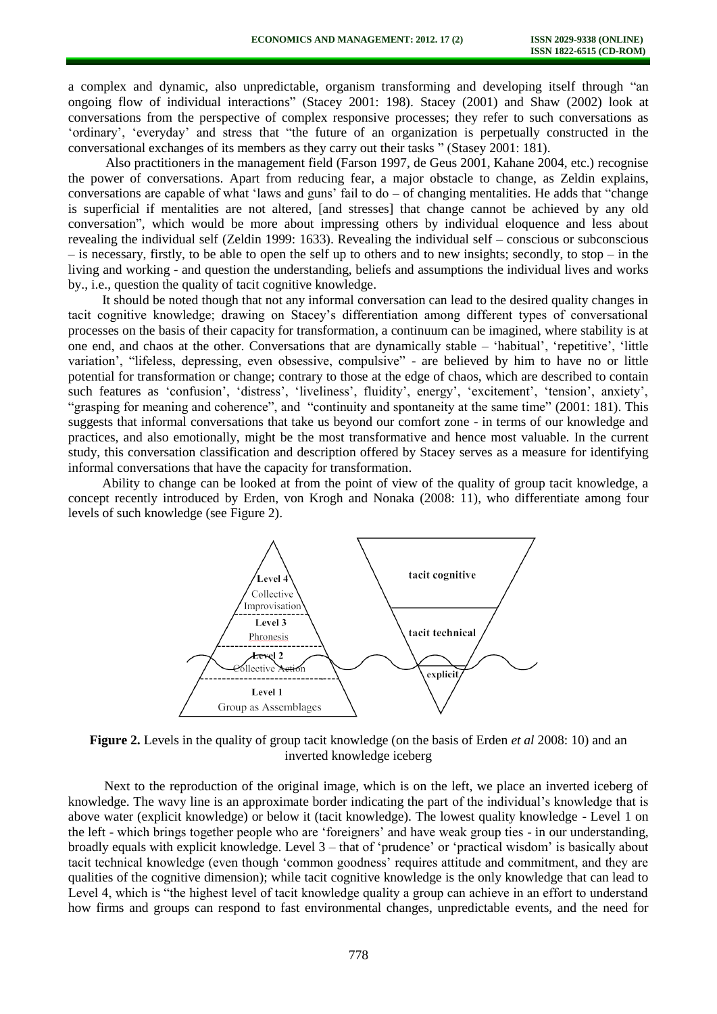a complex and dynamic, also unpredictable, organism transforming and developing itself through "an ongoing flow of individual interactions" (Stacey 2001: 198). Stacey (2001) and Shaw (2002) look at conversations from the perspective of complex responsive processes; they refer to such conversations as 'ordinary', 'everyday' and stress that "the future of an organization is perpetually constructed in the conversational exchanges of its members as they carry out their tasks " (Stasey 2001: 181).

Also practitioners in the management field (Farson 1997, de Geus 2001, Kahane 2004, etc.) recognise the power of conversations. Apart from reducing fear, a major obstacle to change, as Zeldin explains, conversations are capable of what 'laws and guns' fail to do – of changing mentalities. He adds that "change is superficial if mentalities are not altered, [and stresses] that change cannot be achieved by any old conversation", which would be more about impressing others by individual eloquence and less about revealing the individual self (Zeldin 1999: 1633). Revealing the individual self – conscious or subconscious – is necessary, firstly, to be able to open the self up to others and to new insights; secondly, to stop – in the living and working - and question the understanding, beliefs and assumptions the individual lives and works by., i.e., question the quality of tacit cognitive knowledge.

It should be noted though that not any informal conversation can lead to the desired quality changes in tacit cognitive knowledge; drawing on Stacey's differentiation among different types of conversational processes on the basis of their capacity for transformation, a continuum can be imagined, where stability is at one end, and chaos at the other. Conversations that are dynamically stable – 'habitual', 'repetitive', 'little variation', "lifeless, depressing, even obsessive, compulsive" - are believed by him to have no or little potential for transformation or change; contrary to those at the edge of chaos, which are described to contain such features as 'confusion', 'distress', 'liveliness', fluidity', energy', 'excitement', 'tension', anxiety', "grasping for meaning and coherence", and "continuity and spontaneity at the same time" (2001: 181). This suggests that informal conversations that take us beyond our comfort zone - in terms of our knowledge and practices, and also emotionally, might be the most transformative and hence most valuable. In the current study, this conversation classification and description offered by Stacey serves as a measure for identifying informal conversations that have the capacity for transformation.

Ability to change can be looked at from the point of view of the quality of group tacit knowledge, a concept recently introduced by Erden, von Krogh and Nonaka (2008: 11), who differentiate among four levels of such knowledge (see Figure 2).



**Figure 2.** Levels in the quality of group tacit knowledge (on the basis of Erden *et al* 2008: 10) and an inverted knowledge iceberg

Next to the reproduction of the original image, which is on the left, we place an inverted iceberg of knowledge. The wavy line is an approximate border indicating the part of the individual's knowledge that is above water (explicit knowledge) or below it (tacit knowledge). The lowest quality knowledge - Level 1 on the left - which brings together people who are 'foreigners' and have weak group ties - in our understanding, broadly equals with explicit knowledge. Level 3 – that of 'prudence' or 'practical wisdom' is basically about tacit technical knowledge (even though 'common goodness' requires attitude and commitment, and they are qualities of the cognitive dimension); while tacit cognitive knowledge is the only knowledge that can lead to Level 4, which is "the highest level of tacit knowledge quality a group can achieve in an effort to understand how firms and groups can respond to fast environmental changes, unpredictable events, and the need for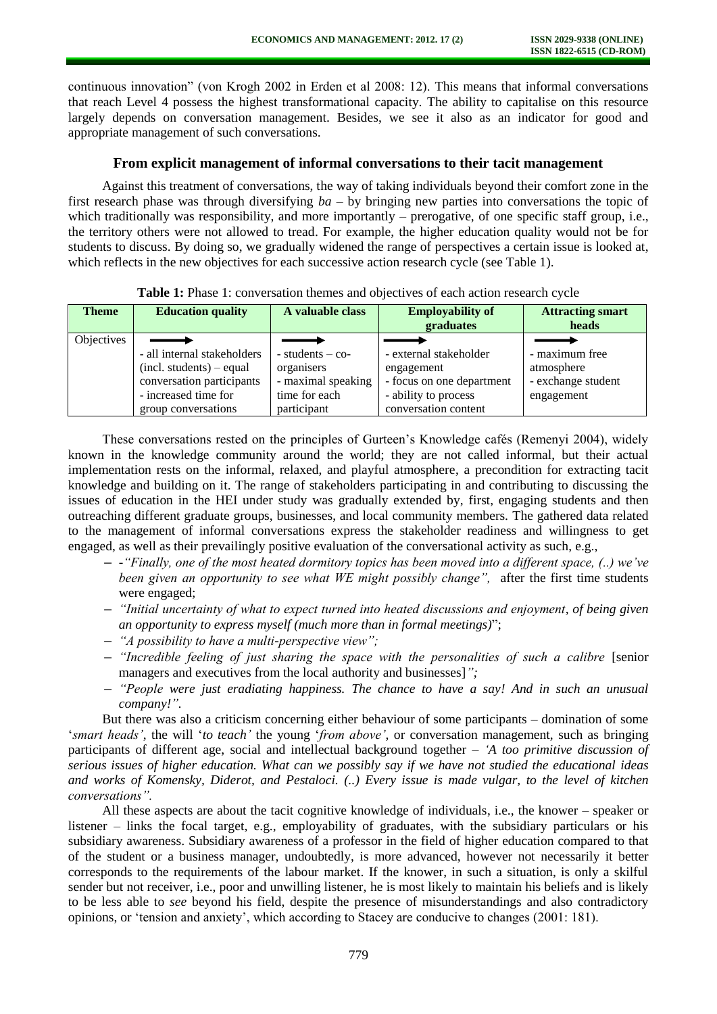continuous innovation" (von Krogh 2002 in Erden et al 2008: 12). This means that informal conversations that reach Level 4 possess the highest transformational capacity. The ability to capitalise on this resource largely depends on conversation management. Besides, we see it also as an indicator for good and appropriate management of such conversations.

## **From explicit management of informal conversations to their tacit management**

Against this treatment of conversations, the way of taking individuals beyond their comfort zone in the first research phase was through diversifying *ba* – by bringing new parties into conversations the topic of which traditionally was responsibility, and more importantly – prerogative, of one specific staff group, i.e., the territory others were not allowed to tread. For example, the higher education quality would not be for students to discuss. By doing so, we gradually widened the range of perspectives a certain issue is looked at, which reflects in the new objectives for each successive action research cycle (see Table 1).

|  |  | Table 1: Phase 1: conversation themes and objectives of each action research cycle |  |  |  |  |  |
|--|--|------------------------------------------------------------------------------------|--|--|--|--|--|
|--|--|------------------------------------------------------------------------------------|--|--|--|--|--|

| <b>Theme</b> | <b>Education quality</b>    | A valuable class     | <b>Employability of</b><br>graduates | <b>Attracting smart</b><br>heads |
|--------------|-----------------------------|----------------------|--------------------------------------|----------------------------------|
| Objectives   |                             |                      |                                      |                                  |
|              | - all internal stakeholders | $-$ students $-$ co- | - external stakeholder               | - maximum free                   |
|              | $(incl. students)$ – equal  | organisers           | engagement                           | atmosphere                       |
|              | conversation participants   | - maximal speaking   | - focus on one department            | - exchange student               |
|              | - increased time for        | time for each        | - ability to process                 | engagement                       |
|              | group conversations         | participant          | conversation content                 |                                  |

These conversations rested on the principles of Gurteen's Knowledge cafés (Remenyi 2004), widely known in the knowledge community around the world; they are not called informal, but their actual implementation rests on the informal, relaxed, and playful atmosphere, a precondition for extracting tacit knowledge and building on it. The range of stakeholders participating in and contributing to discussing the issues of education in the HEI under study was gradually extended by, first, engaging students and then outreaching different graduate groups, businesses, and local community members. The gathered data related to the management of informal conversations express the stakeholder readiness and willingness to get engaged, as well as their prevailingly positive evaluation of the conversational activity as such, e.g.,

- **–** *-"Finally, one of the most heated dormitory topics has been moved into a different space, (..) we've been given an opportunity to see what WE might possibly change"*, after the first time students were engaged;
- **–** *"Initial uncertainty of what to expect turned into heated discussions and enjoyment, of being given an opportunity to express myself (much more than in formal meetings)*";
- **–** *"A possibility to have a multi-perspective view";*
- **–** *"Incredible feeling of just sharing the space with the personalities of such a calibre* [senior managers and executives from the local authority and businesses]*";*
- **–** *"People were just eradiating happiness. The chance to have a say! And in such an unusual company!".*

But there was also a criticism concerning either behaviour of some participants – domination of some '*smart heads'*, the will '*to teach'* the young '*from above'*, or conversation management, such as bringing participants of different age, social and intellectual background together – *'A too primitive discussion of serious issues of higher education. What can we possibly say if we have not studied the educational ideas and works of Komensky, Diderot, and Pestaloci. (..) Every issue is made vulgar, to the level of kitchen conversations".*

All these aspects are about the tacit cognitive knowledge of individuals, i.e., the knower – speaker or listener – links the focal target, e.g., employability of graduates, with the subsidiary particulars or his subsidiary awareness. Subsidiary awareness of a professor in the field of higher education compared to that of the student or a business manager, undoubtedly, is more advanced, however not necessarily it better corresponds to the requirements of the labour market. If the knower, in such a situation, is only a skilful sender but not receiver, i.e., poor and unwilling listener, he is most likely to maintain his beliefs and is likely to be less able to *see* beyond his field, despite the presence of misunderstandings and also contradictory opinions, or 'tension and anxiety', which according to Stacey are conducive to changes (2001: 181).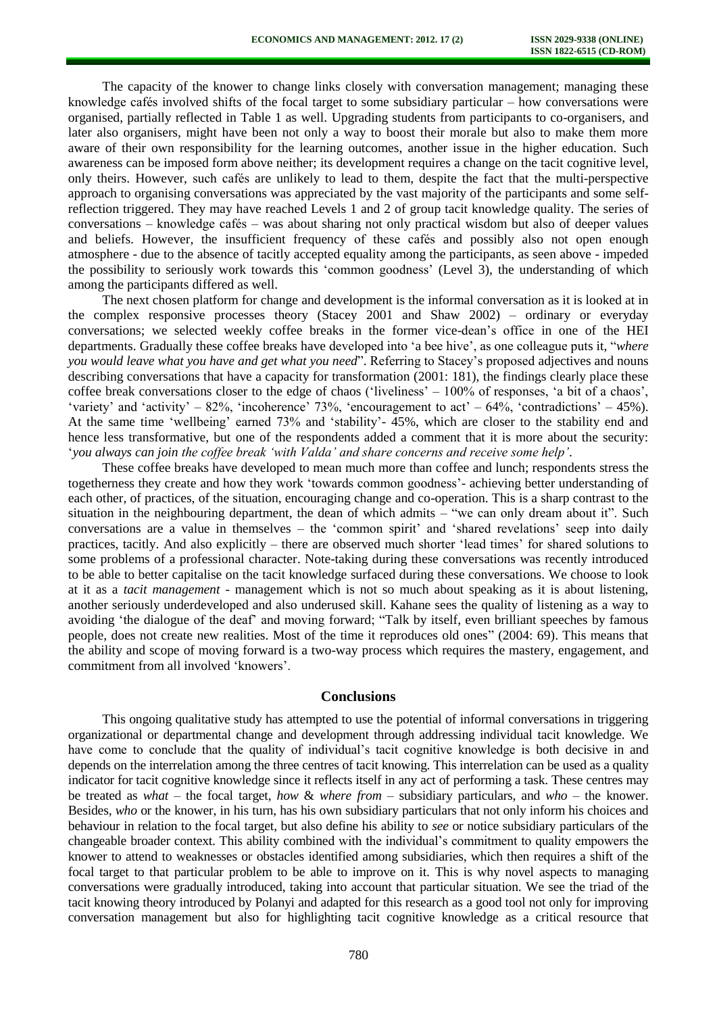The capacity of the knower to change links closely with conversation management; managing these knowledge cafés involved shifts of the focal target to some subsidiary particular – how conversations were organised, partially reflected in Table 1 as well. Upgrading students from participants to co-organisers, and later also organisers, might have been not only a way to boost their morale but also to make them more aware of their own responsibility for the learning outcomes, another issue in the higher education. Such awareness can be imposed form above neither; its development requires a change on the tacit cognitive level, only theirs. However, such cafés are unlikely to lead to them, despite the fact that the multi-perspective approach to organising conversations was appreciated by the vast majority of the participants and some selfreflection triggered. They may have reached Levels 1 and 2 of group tacit knowledge quality. The series of conversations – knowledge cafés – was about sharing not only practical wisdom but also of deeper values and beliefs. However, the insufficient frequency of these cafés and possibly also not open enough atmosphere - due to the absence of tacitly accepted equality among the participants, as seen above - impeded the possibility to seriously work towards this 'common goodness' (Level 3), the understanding of which among the participants differed as well.

The next chosen platform for change and development is the informal conversation as it is looked at in the complex responsive processes theory (Stacey 2001 and Shaw 2002) – ordinary or everyday conversations; we selected weekly coffee breaks in the former vice-dean's office in one of the HEI departments. Gradually these coffee breaks have developed into 'a bee hive', as one colleague puts it, "*where you would leave what you have and get what you need*". Referring to Stacey's proposed adjectives and nouns describing conversations that have a capacity for transformation (2001: 181), the findings clearly place these coffee break conversations closer to the edge of chaos ('liveliness' – 100% of responses, 'a bit of a chaos', 'variety' and 'activity' – 82%, 'incoherence' 73%, 'encouragement to act' – 64%, 'contradictions' – 45%). At the same time 'wellbeing' earned 73% and 'stability'- 45%, which are closer to the stability end and hence less transformative, but one of the respondents added a comment that it is more about the security: '*you always can join the coffee break 'with Valda' and share concerns and receive some help'*.

These coffee breaks have developed to mean much more than coffee and lunch; respondents stress the togetherness they create and how they work 'towards common goodness'- achieving better understanding of each other, of practices, of the situation, encouraging change and co-operation. This is a sharp contrast to the situation in the neighbouring department, the dean of which admits – "we can only dream about it". Such conversations are a value in themselves – the 'common spirit' and 'shared revelations' seep into daily practices, tacitly. And also explicitly – there are observed much shorter 'lead times' for shared solutions to some problems of a professional character. Note-taking during these conversations was recently introduced to be able to better capitalise on the tacit knowledge surfaced during these conversations. We choose to look at it as a *tacit management* - management which is not so much about speaking as it is about listening, another seriously underdeveloped and also underused skill. Kahane sees the quality of listening as a way to avoiding 'the dialogue of the deaf' and moving forward; "Talk by itself, even brilliant speeches by famous people, does not create new realities. Most of the time it reproduces old ones" (2004: 69). This means that the ability and scope of moving forward is a two-way process which requires the mastery, engagement, and commitment from all involved 'knowers'.

#### **Conclusions**

This ongoing qualitative study has attempted to use the potential of informal conversations in triggering organizational or departmental change and development through addressing individual tacit knowledge. We have come to conclude that the quality of individual's tacit cognitive knowledge is both decisive in and depends on the interrelation among the three centres of tacit knowing. This interrelation can be used as a quality indicator for tacit cognitive knowledge since it reflects itself in any act of performing a task. These centres may be treated as *what –* the focal target, *how* & *where from* – subsidiary particulars, and *who –* the knower. Besides, *who* or the knower, in his turn, has his own subsidiary particulars that not only inform his choices and behaviour in relation to the focal target, but also define his ability to *see* or notice subsidiary particulars of the changeable broader context. This ability combined with the individual's commitment to quality empowers the knower to attend to weaknesses or obstacles identified among subsidiaries, which then requires a shift of the focal target to that particular problem to be able to improve on it. This is why novel aspects to managing conversations were gradually introduced, taking into account that particular situation. We see the triad of the tacit knowing theory introduced by Polanyi and adapted for this research as a good tool not only for improving conversation management but also for highlighting tacit cognitive knowledge as a critical resource that